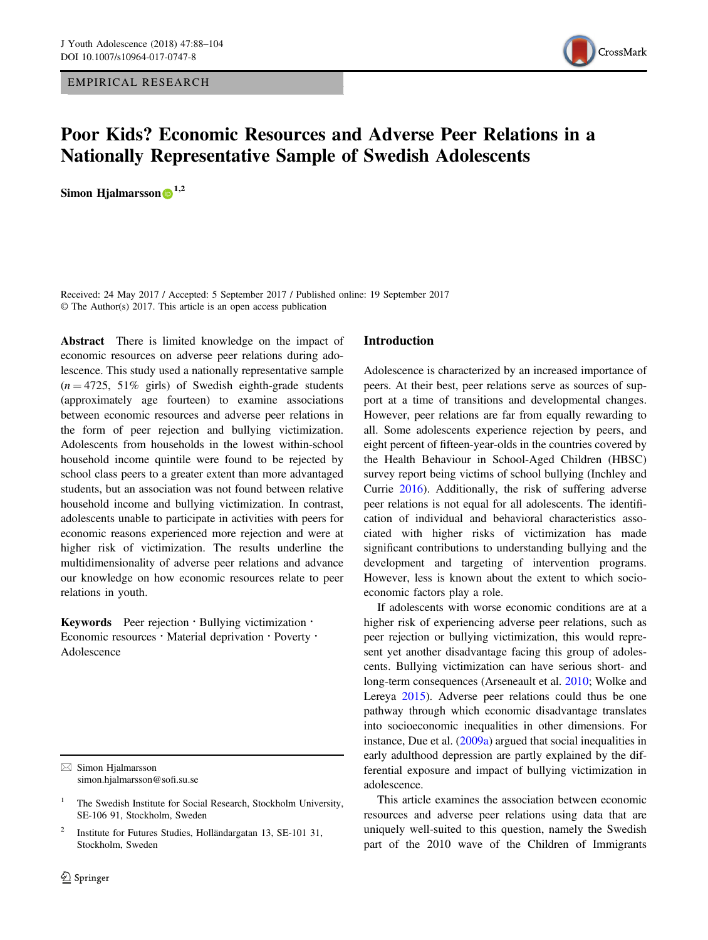EMPIRICAL RESEARCH



# Poor Kids? Economic Resources and Adverse Peer Relations in a Nationally Representative Sample of Swedish Adolescents

Simon Hjalmarsson  $\mathbf{D}^{1,2}$ 

Received: 24 May 2017 / Accepted: 5 September 2017 / Published online: 19 September 2017 © The Author(s) 2017. This article is an open access publication

Abstract There is limited knowledge on the impact of economic resources on adverse peer relations during adolescence. This study used a nationally representative sample  $(n = 4725, 51\%$  girls) of Swedish eighth-grade students (approximately age fourteen) to examine associations between economic resources and adverse peer relations in the form of peer rejection and bullying victimization. Adolescents from households in the lowest within-school household income quintile were found to be rejected by school class peers to a greater extent than more advantaged students, but an association was not found between relative household income and bullying victimization. In contrast, adolescents unable to participate in activities with peers for economic reasons experienced more rejection and were at higher risk of victimization. The results underline the multidimensionality of adverse peer relations and advance our knowledge on how economic resources relate to peer relations in youth.

Keywords Peer rejection · Bullying victimization · Economic resources • Material deprivation • Poverty • Adolescence

 $\boxtimes$  Simon Hjalmarsson [simon.hjalmarsson@so](mailto:simon.hjalmarsson@sofi.su.se)fi.su.se

#### Introduction

Adolescence is characterized by an increased importance of peers. At their best, peer relations serve as sources of support at a time of transitions and developmental changes. However, peer relations are far from equally rewarding to all. Some adolescents experience rejection by peers, and eight percent of fifteen-year-olds in the countries covered by the Health Behaviour in School-Aged Children (HBSC) survey report being victims of school bullying (Inchley and Currie [2016](#page-15-0)). Additionally, the risk of suffering adverse peer relations is not equal for all adolescents. The identification of individual and behavioral characteristics associated with higher risks of victimization has made significant contributions to understanding bullying and the development and targeting of intervention programs. However, less is known about the extent to which socioeconomic factors play a role.

If adolescents with worse economic conditions are at a higher risk of experiencing adverse peer relations, such as peer rejection or bullying victimization, this would represent yet another disadvantage facing this group of adolescents. Bullying victimization can have serious short- and long-term consequences (Arseneault et al. [2010](#page-14-0); Wolke and Lereya [2015](#page-16-0)). Adverse peer relations could thus be one pathway through which economic disadvantage translates into socioeconomic inequalities in other dimensions. For instance, Due et al. ([2009a](#page-14-0)) argued that social inequalities in early adulthood depression are partly explained by the differential exposure and impact of bullying victimization in adolescence.

This article examines the association between economic resources and adverse peer relations using data that are uniquely well-suited to this question, namely the Swedish part of the 2010 wave of the Children of Immigrants

<sup>1</sup> The Swedish Institute for Social Research, Stockholm University, SE-106 91, Stockholm, Sweden

<sup>2</sup> Institute for Futures Studies, Holländargatan 13, SE-101 31, Stockholm, Sweden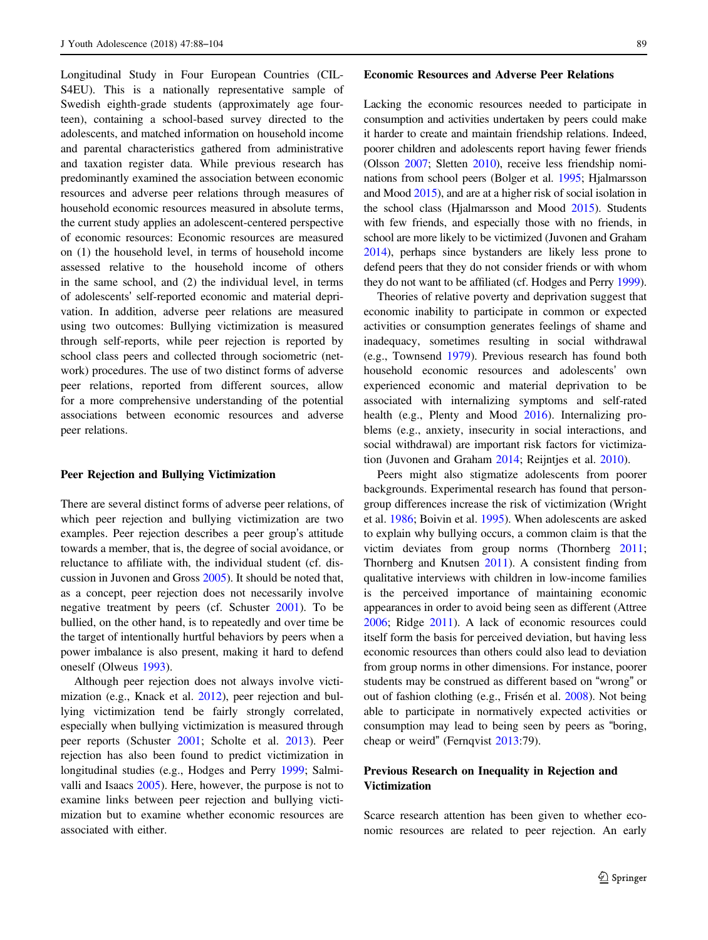Longitudinal Study in Four European Countries (CIL-S4EU). This is a nationally representative sample of Swedish eighth-grade students (approximately age fourteen), containing a school-based survey directed to the adolescents, and matched information on household income and parental characteristics gathered from administrative and taxation register data. While previous research has predominantly examined the association between economic resources and adverse peer relations through measures of household economic resources measured in absolute terms, the current study applies an adolescent-centered perspective of economic resources: Economic resources are measured on (1) the household level, in terms of household income assessed relative to the household income of others in the same school, and (2) the individual level, in terms of adolescents' self-reported economic and material deprivation. In addition, adverse peer relations are measured using two outcomes: Bullying victimization is measured through self-reports, while peer rejection is reported by school class peers and collected through sociometric (network) procedures. The use of two distinct forms of adverse peer relations, reported from different sources, allow for a more comprehensive understanding of the potential associations between economic resources and adverse peer relations.

#### Peer Rejection and Bullying Victimization

There are several distinct forms of adverse peer relations, of which peer rejection and bullying victimization are two examples. Peer rejection describes a peer group's attitude towards a member, that is, the degree of social avoidance, or reluctance to affiliate with, the individual student (cf. discussion in Juvonen and Gross [2005\)](#page-15-0). It should be noted that, as a concept, peer rejection does not necessarily involve negative treatment by peers (cf. Schuster [2001](#page-15-0)). To be bullied, on the other hand, is to repeatedly and over time be the target of intentionally hurtful behaviors by peers when a power imbalance is also present, making it hard to defend oneself (Olweus [1993\)](#page-15-0).

Although peer rejection does not always involve victimization (e.g., Knack et al. [2012\)](#page-15-0), peer rejection and bullying victimization tend be fairly strongly correlated, especially when bullying victimization is measured through peer reports (Schuster [2001](#page-15-0); Scholte et al. [2013](#page-15-0)). Peer rejection has also been found to predict victimization in longitudinal studies (e.g., Hodges and Perry [1999](#page-15-0); Salmivalli and Isaacs [2005](#page-15-0)). Here, however, the purpose is not to examine links between peer rejection and bullying victimization but to examine whether economic resources are associated with either.

#### Economic Resources and Adverse Peer Relations

Lacking the economic resources needed to participate in consumption and activities undertaken by peers could make it harder to create and maintain friendship relations. Indeed, poorer children and adolescents report having fewer friends (Olsson [2007](#page-15-0); Sletten [2010](#page-16-0)), receive less friendship nominations from school peers (Bolger et al. [1995](#page-14-0); Hjalmarsson and Mood [2015\)](#page-15-0), and are at a higher risk of social isolation in the school class (Hjalmarsson and Mood [2015](#page-15-0)). Students with few friends, and especially those with no friends, in school are more likely to be victimized (Juvonen and Graham [2014\)](#page-15-0), perhaps since bystanders are likely less prone to defend peers that they do not consider friends or with whom they do not want to be affiliated (cf. Hodges and Perry [1999\)](#page-15-0).

Theories of relative poverty and deprivation suggest that economic inability to participate in common or expected activities or consumption generates feelings of shame and inadequacy, sometimes resulting in social withdrawal (e.g., Townsend [1979\)](#page-16-0). Previous research has found both household economic resources and adolescents' own experienced economic and material deprivation to be associated with internalizing symptoms and self-rated health (e.g., Plenty and Mood [2016\)](#page-15-0). Internalizing problems (e.g., anxiety, insecurity in social interactions, and social withdrawal) are important risk factors for victimization (Juvonen and Graham [2014](#page-15-0); Reijntjes et al. [2010\)](#page-15-0).

Peers might also stigmatize adolescents from poorer backgrounds. Experimental research has found that persongroup differences increase the risk of victimization (Wright et al. [1986;](#page-16-0) Boivin et al. [1995\)](#page-14-0). When adolescents are asked to explain why bullying occurs, a common claim is that the victim deviates from group norms (Thornberg [2011;](#page-16-0) Thornberg and Knutsen [2011\)](#page-16-0). A consistent finding from qualitative interviews with children in low-income families is the perceived importance of maintaining economic appearances in order to avoid being seen as different (Attree [2006](#page-14-0); Ridge [2011\)](#page-15-0). A lack of economic resources could itself form the basis for perceived deviation, but having less economic resources than others could also lead to deviation from group norms in other dimensions. For instance, poorer students may be construed as different based on "wrong" or out of fashion clothing (e.g., Frisén et al. [2008](#page-15-0)). Not being able to participate in normatively expected activities or consumption may lead to being seen by peers as "boring, cheap or weird" (Fernqvist [2013:](#page-15-0)79).

# Previous Research on Inequality in Rejection and Victimization

Scarce research attention has been given to whether economic resources are related to peer rejection. An early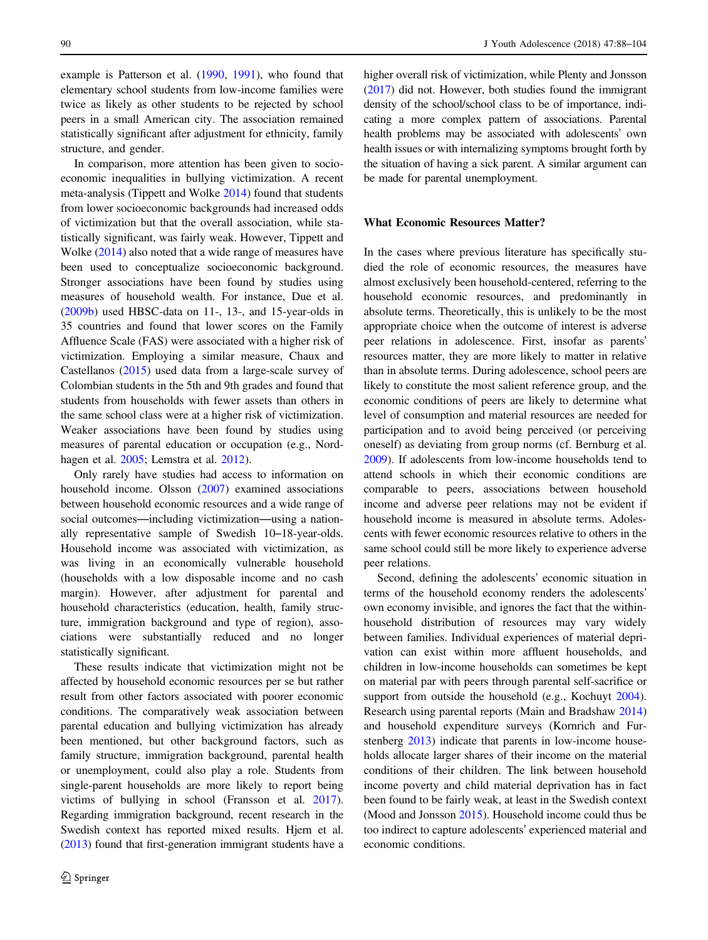example is Patterson et al. ([1990,](#page-15-0) [1991\)](#page-15-0), who found that elementary school students from low-income families were twice as likely as other students to be rejected by school peers in a small American city. The association remained statistically significant after adjustment for ethnicity, family structure, and gender.

In comparison, more attention has been given to socioeconomic inequalities in bullying victimization. A recent meta-analysis (Tippett and Wolke [2014\)](#page-16-0) found that students from lower socioeconomic backgrounds had increased odds of victimization but that the overall association, while statistically significant, was fairly weak. However, Tippett and Wolke ([2014\)](#page-16-0) also noted that a wide range of measures have been used to conceptualize socioeconomic background. Stronger associations have been found by studies using measures of household wealth. For instance, Due et al. [\(2009b](#page-15-0)) used HBSC-data on 11-, 13-, and 15-year-olds in 35 countries and found that lower scores on the Family Affluence Scale (FAS) were associated with a higher risk of victimization. Employing a similar measure, Chaux and Castellanos ([2015\)](#page-14-0) used data from a large-scale survey of Colombian students in the 5th and 9th grades and found that students from households with fewer assets than others in the same school class were at a higher risk of victimization. Weaker associations have been found by studies using measures of parental education or occupation (e.g., Nordhagen et al. [2005](#page-15-0); Lemstra et al. [2012](#page-15-0)).

Only rarely have studies had access to information on household income. Olsson ([2007\)](#page-15-0) examined associations between household economic resources and a wide range of social outcomes—including victimization—using a nationally representative sample of Swedish 10–18-year-olds. Household income was associated with victimization, as was living in an economically vulnerable household (households with a low disposable income and no cash margin). However, after adjustment for parental and household characteristics (education, health, family structure, immigration background and type of region), associations were substantially reduced and no longer statistically significant.

These results indicate that victimization might not be affected by household economic resources per se but rather result from other factors associated with poorer economic conditions. The comparatively weak association between parental education and bullying victimization has already been mentioned, but other background factors, such as family structure, immigration background, parental health or unemployment, could also play a role. Students from single-parent households are more likely to report being victims of bullying in school (Fransson et al. [2017](#page-15-0)). Regarding immigration background, recent research in the Swedish context has reported mixed results. Hjern et al. [\(2013\)](#page-15-0) found that first-generation immigrant students have a higher overall risk of victimization, while Plenty and Jonsson [\(2017\)](#page-15-0) did not. However, both studies found the immigrant density of the school/school class to be of importance, indicating a more complex pattern of associations. Parental health problems may be associated with adolescents' own health issues or with internalizing symptoms brought forth by the situation of having a sick parent. A similar argument can be made for parental unemployment.

#### What Economic Resources Matter?

In the cases where previous literature has specifically studied the role of economic resources, the measures have almost exclusively been household-centered, referring to the household economic resources, and predominantly in absolute terms. Theoretically, this is unlikely to be the most appropriate choice when the outcome of interest is adverse peer relations in adolescence. First, insofar as parents' resources matter, they are more likely to matter in relative than in absolute terms. During adolescence, school peers are likely to constitute the most salient reference group, and the economic conditions of peers are likely to determine what level of consumption and material resources are needed for participation and to avoid being perceived (or perceiving oneself) as deviating from group norms (cf. Bernburg et al. [2009](#page-14-0)). If adolescents from low-income households tend to attend schools in which their economic conditions are comparable to peers, associations between household income and adverse peer relations may not be evident if household income is measured in absolute terms. Adolescents with fewer economic resources relative to others in the same school could still be more likely to experience adverse peer relations.

Second, defining the adolescents' economic situation in terms of the household economy renders the adolescents' own economy invisible, and ignores the fact that the withinhousehold distribution of resources may vary widely between families. Individual experiences of material deprivation can exist within more affluent households, and children in low-income households can sometimes be kept on material par with peers through parental self-sacrifice or support from outside the household (e.g., Kochuyt [2004\)](#page-15-0). Research using parental reports (Main and Bradshaw [2014](#page-15-0)) and household expenditure surveys (Kornrich and Furstenberg [2013](#page-15-0)) indicate that parents in low-income households allocate larger shares of their income on the material conditions of their children. The link between household income poverty and child material deprivation has in fact been found to be fairly weak, at least in the Swedish context (Mood and Jonsson [2015](#page-15-0)). Household income could thus be too indirect to capture adolescents' experienced material and economic conditions.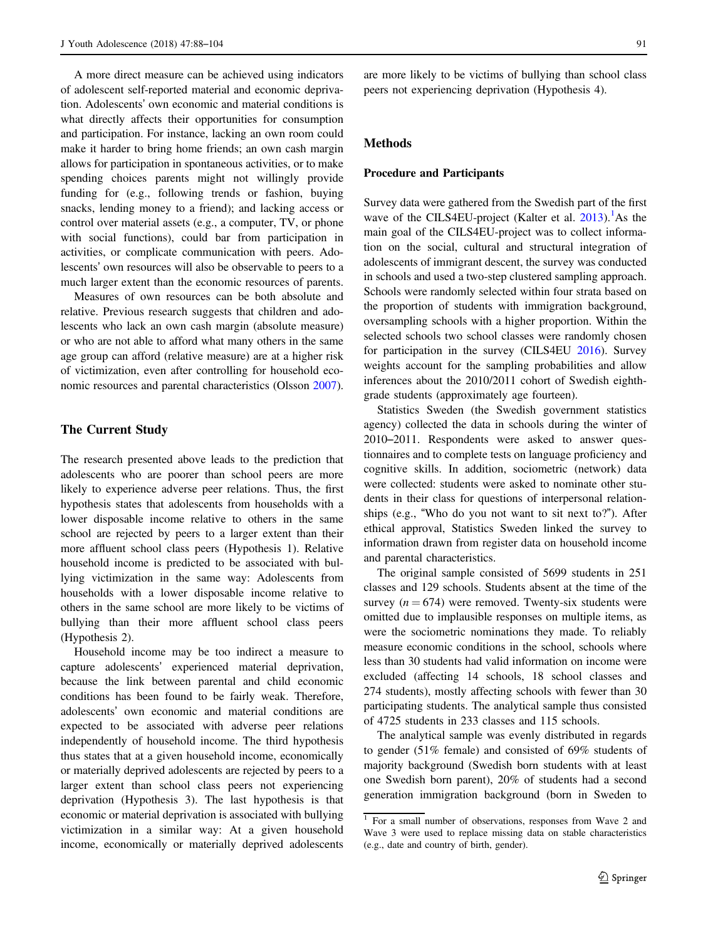A more direct measure can be achieved using indicators of adolescent self-reported material and economic deprivation. Adolescents' own economic and material conditions is what directly affects their opportunities for consumption and participation. For instance, lacking an own room could make it harder to bring home friends; an own cash margin allows for participation in spontaneous activities, or to make spending choices parents might not willingly provide funding for (e.g., following trends or fashion, buying snacks, lending money to a friend); and lacking access or control over material assets (e.g., a computer, TV, or phone with social functions), could bar from participation in activities, or complicate communication with peers. Adolescents' own resources will also be observable to peers to a much larger extent than the economic resources of parents.

Measures of own resources can be both absolute and relative. Previous research suggests that children and adolescents who lack an own cash margin (absolute measure) or who are not able to afford what many others in the same age group can afford (relative measure) are at a higher risk of victimization, even after controlling for household economic resources and parental characteristics (Olsson [2007](#page-15-0)).

#### The Current Study

The research presented above leads to the prediction that adolescents who are poorer than school peers are more likely to experience adverse peer relations. Thus, the first hypothesis states that adolescents from households with a lower disposable income relative to others in the same school are rejected by peers to a larger extent than their more affluent school class peers (Hypothesis 1). Relative household income is predicted to be associated with bullying victimization in the same way: Adolescents from households with a lower disposable income relative to others in the same school are more likely to be victims of bullying than their more affluent school class peers (Hypothesis 2).

Household income may be too indirect a measure to capture adolescents' experienced material deprivation, because the link between parental and child economic conditions has been found to be fairly weak. Therefore, adolescents' own economic and material conditions are expected to be associated with adverse peer relations independently of household income. The third hypothesis thus states that at a given household income, economically or materially deprived adolescents are rejected by peers to a larger extent than school class peers not experiencing deprivation (Hypothesis 3). The last hypothesis is that economic or material deprivation is associated with bullying victimization in a similar way: At a given household income, economically or materially deprived adolescents are more likely to be victims of bullying than school class peers not experiencing deprivation (Hypothesis 4).

#### **Methods**

### Procedure and Participants

Survey data were gathered from the Swedish part of the first wave of the CILS4EU-project (Kalter et al.  $2013$ ).<sup>1</sup>As the main goal of the CILS4EU-project was to collect information on the social, cultural and structural integration of adolescents of immigrant descent, the survey was conducted in schools and used a two-step clustered sampling approach. Schools were randomly selected within four strata based on the proportion of students with immigration background, oversampling schools with a higher proportion. Within the selected schools two school classes were randomly chosen for participation in the survey (CILS4EU [2016\)](#page-14-0). Survey weights account for the sampling probabilities and allow inferences about the 2010/2011 cohort of Swedish eighthgrade students (approximately age fourteen).

Statistics Sweden (the Swedish government statistics agency) collected the data in schools during the winter of 2010–2011. Respondents were asked to answer questionnaires and to complete tests on language proficiency and cognitive skills. In addition, sociometric (network) data were collected: students were asked to nominate other students in their class for questions of interpersonal relationships (e.g., "Who do you not want to sit next to?"). After ethical approval, Statistics Sweden linked the survey to information drawn from register data on household income and parental characteristics.

The original sample consisted of 5699 students in 251 classes and 129 schools. Students absent at the time of the survey  $(n = 674)$  were removed. Twenty-six students were omitted due to implausible responses on multiple items, as were the sociometric nominations they made. To reliably measure economic conditions in the school, schools where less than 30 students had valid information on income were excluded (affecting 14 schools, 18 school classes and 274 students), mostly affecting schools with fewer than 30 participating students. The analytical sample thus consisted of 4725 students in 233 classes and 115 schools.

The analytical sample was evenly distributed in regards to gender (51% female) and consisted of 69% students of majority background (Swedish born students with at least one Swedish born parent), 20% of students had a second generation immigration background (born in Sweden to

<sup>&</sup>lt;sup>1</sup> For a small number of observations, responses from Wave 2 and Wave 3 were used to replace missing data on stable characteristics (e.g., date and country of birth, gender).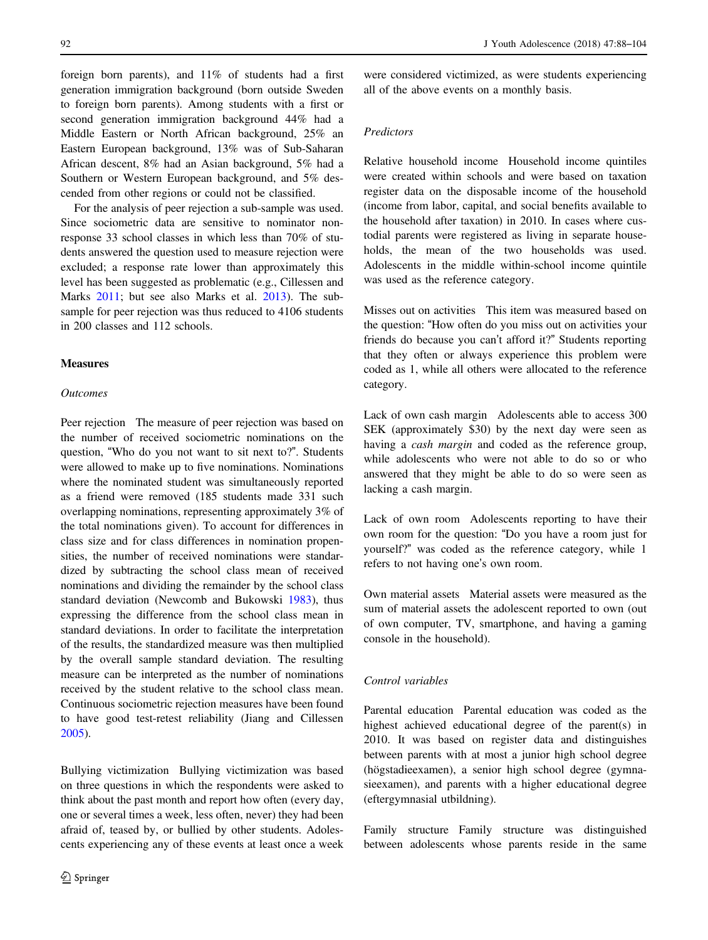foreign born parents), and 11% of students had a first generation immigration background (born outside Sweden to foreign born parents). Among students with a first or second generation immigration background 44% had a Middle Eastern or North African background, 25% an Eastern European background, 13% was of Sub-Saharan African descent, 8% had an Asian background, 5% had a Southern or Western European background, and 5% descended from other regions or could not be classified.

For the analysis of peer rejection a sub-sample was used. Since sociometric data are sensitive to nominator nonresponse 33 school classes in which less than 70% of students answered the question used to measure rejection were excluded; a response rate lower than approximately this level has been suggested as problematic (e.g., Cillessen and Marks [2011](#page-14-0); but see also Marks et al. [2013](#page-15-0)). The subsample for peer rejection was thus reduced to 4106 students in 200 classes and 112 schools.

#### **Measures**

#### **Outcomes**

Peer rejection The measure of peer rejection was based on the number of received sociometric nominations on the question, "Who do you not want to sit next to?". Students were allowed to make up to five nominations. Nominations where the nominated student was simultaneously reported as a friend were removed (185 students made 331 such overlapping nominations, representing approximately 3% of the total nominations given). To account for differences in class size and for class differences in nomination propensities, the number of received nominations were standardized by subtracting the school class mean of received nominations and dividing the remainder by the school class standard deviation (Newcomb and Bukowski [1983](#page-15-0)), thus expressing the difference from the school class mean in standard deviations. In order to facilitate the interpretation of the results, the standardized measure was then multiplied by the overall sample standard deviation. The resulting measure can be interpreted as the number of nominations received by the student relative to the school class mean. Continuous sociometric rejection measures have been found to have good test-retest reliability (Jiang and Cillessen [2005\)](#page-15-0).

Bullying victimization Bullying victimization was based on three questions in which the respondents were asked to think about the past month and report how often (every day, one or several times a week, less often, never) they had been afraid of, teased by, or bullied by other students. Adolescents experiencing any of these events at least once a week

were considered victimized, as were students experiencing all of the above events on a monthly basis.

#### Predictors

Relative household income Household income quintiles were created within schools and were based on taxation register data on the disposable income of the household (income from labor, capital, and social benefits available to the household after taxation) in 2010. In cases where custodial parents were registered as living in separate households, the mean of the two households was used. Adolescents in the middle within-school income quintile was used as the reference category.

Misses out on activities This item was measured based on the question: "How often do you miss out on activities your friends do because you can't afford it?" Students reporting that they often or always experience this problem were coded as 1, while all others were allocated to the reference category.

Lack of own cash margin Adolescents able to access 300 SEK (approximately \$30) by the next day were seen as having a *cash margin* and coded as the reference group, while adolescents who were not able to do so or who answered that they might be able to do so were seen as lacking a cash margin.

Lack of own room Adolescents reporting to have their own room for the question: "Do you have a room just for yourself?" was coded as the reference category, while 1 refers to not having one's own room.

Own material assets Material assets were measured as the sum of material assets the adolescent reported to own (out of own computer, TV, smartphone, and having a gaming console in the household).

## Control variables

Parental education Parental education was coded as the highest achieved educational degree of the parent(s) in 2010. It was based on register data and distinguishes between parents with at most a junior high school degree (högstadieexamen), a senior high school degree (gymnasieexamen), and parents with a higher educational degree (eftergymnasial utbildning).

Family structure Family structure was distinguished between adolescents whose parents reside in the same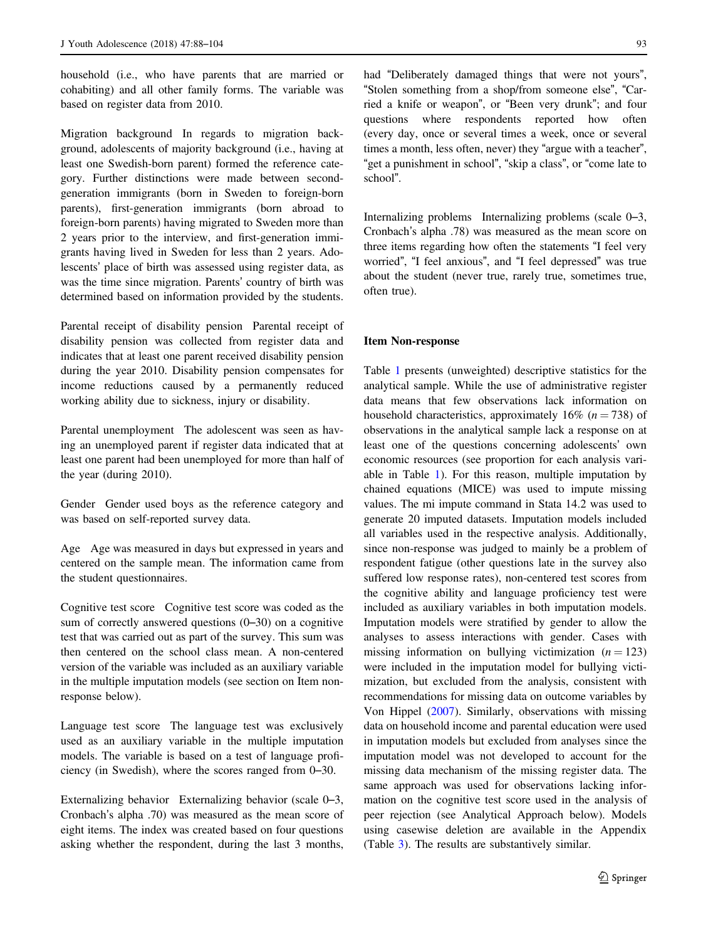household (i.e., who have parents that are married or cohabiting) and all other family forms. The variable was based on register data from 2010.

Migration background In regards to migration background, adolescents of majority background (i.e., having at least one Swedish-born parent) formed the reference category. Further distinctions were made between secondgeneration immigrants (born in Sweden to foreign-born parents), first-generation immigrants (born abroad to foreign-born parents) having migrated to Sweden more than 2 years prior to the interview, and first-generation immigrants having lived in Sweden for less than 2 years. Adolescents' place of birth was assessed using register data, as was the time since migration. Parents' country of birth was determined based on information provided by the students.

Parental receipt of disability pension Parental receipt of disability pension was collected from register data and indicates that at least one parent received disability pension during the year 2010. Disability pension compensates for income reductions caused by a permanently reduced working ability due to sickness, injury or disability.

Parental unemployment The adolescent was seen as having an unemployed parent if register data indicated that at least one parent had been unemployed for more than half of the year (during 2010).

Gender Gender used boys as the reference category and was based on self-reported survey data.

Age Age was measured in days but expressed in years and centered on the sample mean. The information came from the student questionnaires.

Cognitive test score Cognitive test score was coded as the sum of correctly answered questions (0–30) on a cognitive test that was carried out as part of the survey. This sum was then centered on the school class mean. A non-centered version of the variable was included as an auxiliary variable in the multiple imputation models (see section on Item nonresponse below).

Language test score The language test was exclusively used as an auxiliary variable in the multiple imputation models. The variable is based on a test of language proficiency (in Swedish), where the scores ranged from 0–30.

Externalizing behavior Externalizing behavior (scale 0–3, Cronbach's alpha .70) was measured as the mean score of eight items. The index was created based on four questions asking whether the respondent, during the last 3 months,

had "Deliberately damaged things that were not yours", "Stolen something from a shop/from someone else", "Carried a knife or weapon", or "Been very drunk"; and four questions where respondents reported how often (every day, once or several times a week, once or several times a month, less often, never) they "argue with a teacher", "get a punishment in school", "skip a class", or "come late to school".

Internalizing problems Internalizing problems (scale 0–3, Cronbach's alpha .78) was measured as the mean score on three items regarding how often the statements "I feel very worried", "I feel anxious", and "I feel depressed" was true about the student (never true, rarely true, sometimes true, often true).

#### Item Non-response

Table [1](#page-6-0) presents (unweighted) descriptive statistics for the analytical sample. While the use of administrative register data means that few observations lack information on household characteristics, approximately 16% ( $n = 738$ ) of observations in the analytical sample lack a response on at least one of the questions concerning adolescents' own economic resources (see proportion for each analysis variable in Table [1\)](#page-6-0). For this reason, multiple imputation by chained equations (MICE) was used to impute missing values. The mi impute command in Stata 14.2 was used to generate 20 imputed datasets. Imputation models included all variables used in the respective analysis. Additionally, since non-response was judged to mainly be a problem of respondent fatigue (other questions late in the survey also suffered low response rates), non-centered test scores from the cognitive ability and language proficiency test were included as auxiliary variables in both imputation models. Imputation models were stratified by gender to allow the analyses to assess interactions with gender. Cases with missing information on bullying victimization  $(n = 123)$ were included in the imputation model for bullying victimization, but excluded from the analysis, consistent with recommendations for missing data on outcome variables by Von Hippel ([2007\)](#page-16-0). Similarly, observations with missing data on household income and parental education were used in imputation models but excluded from analyses since the imputation model was not developed to account for the missing data mechanism of the missing register data. The same approach was used for observations lacking information on the cognitive test score used in the analysis of peer rejection (see Analytical Approach below). Models using casewise deletion are available in the Appendix (Table [3](#page-12-0)). The results are substantively similar.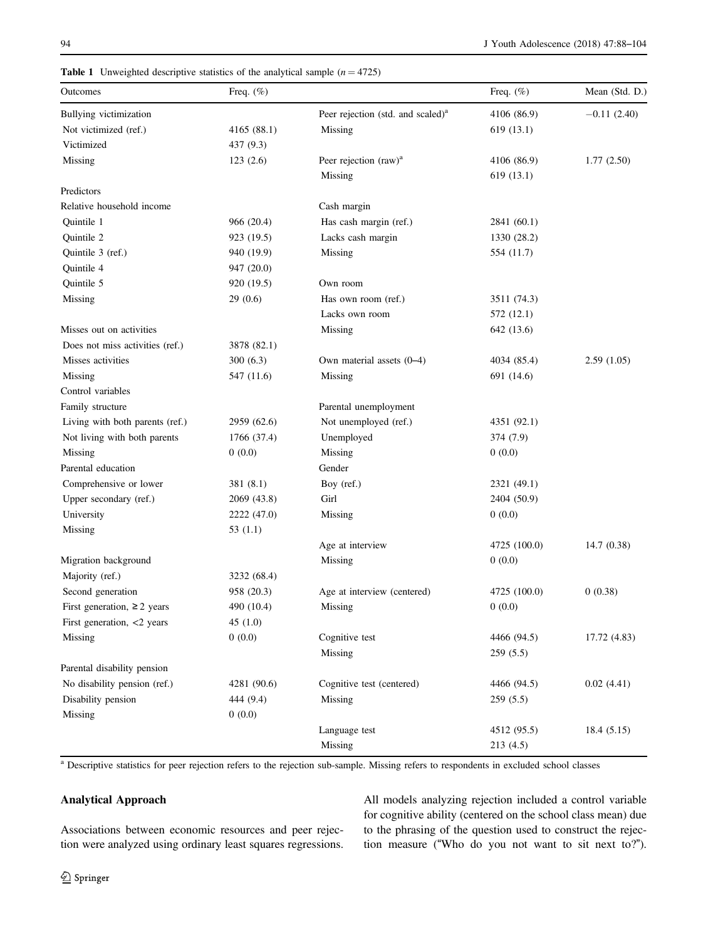| Outcomes                         | Freq. $(\%)$ |                                               | Freq. $(\%)$ | Mean (Std. D.) |
|----------------------------------|--------------|-----------------------------------------------|--------------|----------------|
| Bullying victimization           |              | Peer rejection (std. and scaled) <sup>a</sup> | 4106 (86.9)  | $-0.11(2.40)$  |
| Not victimized (ref.)            | 4165 (88.1)  | Missing                                       | 619 (13.1)   |                |
| Victimized                       | 437 (9.3)    |                                               |              |                |
| Missing                          | 123(2.6)     | Peer rejection $(raw)^a$                      | 4106 (86.9)  | 1.77(2.50)     |
|                                  |              | Missing                                       | 619 (13.1)   |                |
| Predictors                       |              |                                               |              |                |
| Relative household income        |              | Cash margin                                   |              |                |
| Quintile 1                       | 966 (20.4)   | Has cash margin (ref.)                        | 2841 (60.1)  |                |
| Quintile 2                       | 923 (19.5)   | Lacks cash margin                             | 1330 (28.2)  |                |
| Quintile 3 (ref.)                | 940 (19.9)   | Missing                                       | 554 (11.7)   |                |
| Quintile 4                       | 947 (20.0)   |                                               |              |                |
| Quintile 5                       | 920 (19.5)   | Own room                                      |              |                |
| Missing                          | 29(0.6)      | Has own room (ref.)                           | 3511 (74.3)  |                |
|                                  |              | Lacks own room                                | 572 (12.1)   |                |
| Misses out on activities         |              | Missing                                       | 642 (13.6)   |                |
| Does not miss activities (ref.)  | 3878 (82.1)  |                                               |              |                |
| Misses activities                | 300(6.3)     | Own material assets (0-4)                     | 4034 (85.4)  | 2.59(1.05)     |
| Missing                          | 547 (11.6)   | Missing                                       | 691 (14.6)   |                |
| Control variables                |              |                                               |              |                |
| Family structure                 |              | Parental unemployment                         |              |                |
| Living with both parents (ref.)  | 2959 (62.6)  | Not unemployed (ref.)                         | 4351 (92.1)  |                |
| Not living with both parents     | 1766 (37.4)  | Unemployed                                    | 374 (7.9)    |                |
| Missing                          | 0(0.0)       | Missing                                       | 0(0.0)       |                |
| Parental education               |              | Gender                                        |              |                |
| Comprehensive or lower           | 381 (8.1)    | Boy (ref.)                                    | 2321 (49.1)  |                |
| Upper secondary (ref.)           | 2069 (43.8)  | Girl                                          | 2404 (50.9)  |                |
| University                       | 2222 (47.0)  | Missing                                       | 0(0.0)       |                |
| Missing                          | 53 $(1.1)$   |                                               |              |                |
|                                  |              | Age at interview                              | 4725 (100.0) | 14.7(0.38)     |
| Migration background             |              | Missing                                       | 0(0.0)       |                |
| Majority (ref.)                  | 3232 (68.4)  |                                               |              |                |
| Second generation                | 958 (20.3)   | Age at interview (centered)                   | 4725 (100.0) | 0(0.38)        |
| First generation, $\geq 2$ years | 490 (10.4)   | Missing                                       | 0(0.0)       |                |
| First generation, $<$ 2 years    | 45 $(1.0)$   |                                               |              |                |
| Missing                          | 0(0.0)       | Cognitive test                                | 4466 (94.5)  | 17.72 (4.83)   |
|                                  |              | Missing                                       | 259(5.5)     |                |
| Parental disability pension      |              |                                               |              |                |
| No disability pension (ref.)     | 4281 (90.6)  | Cognitive test (centered)                     | 4466 (94.5)  | 0.02(4.41)     |
| Disability pension               | 444 (9.4)    | Missing                                       | 259(5.5)     |                |
| Missing                          | 0(0.0)       |                                               |              |                |
|                                  |              | Language test                                 | 4512 (95.5)  | 18.4(5.15)     |
|                                  |              | Missing                                       | 213(4.5)     |                |

<span id="page-6-0"></span>**Table 1** Unweighted descriptive statistics of the analytical sample  $(n = 4725)$ 

<sup>a</sup> Descriptive statistics for peer rejection refers to the rejection sub-sample. Missing refers to respondents in excluded school classes

#### Analytical Approach

Associations between economic resources and peer rejection were analyzed using ordinary least squares regressions. All models analyzing rejection included a control variable for cognitive ability (centered on the school class mean) due to the phrasing of the question used to construct the rejection measure ("Who do you not want to sit next to?").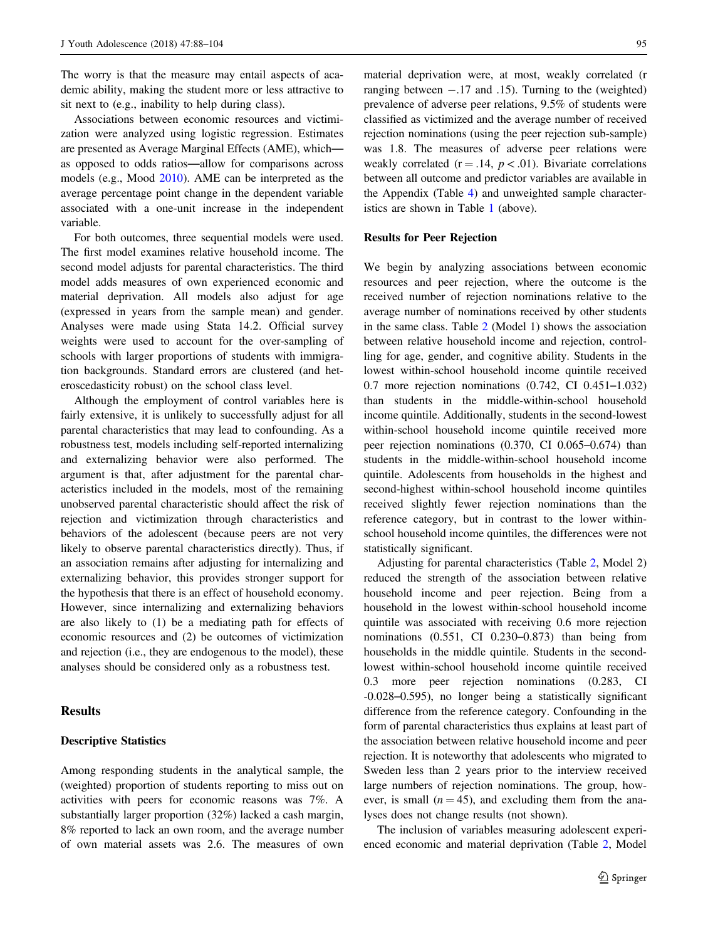The worry is that the measure may entail aspects of academic ability, making the student more or less attractive to sit next to (e.g., inability to help during class).

Associations between economic resources and victimization were analyzed using logistic regression. Estimates are presented as Average Marginal Effects (AME), which as opposed to odds ratios—allow for comparisons across models (e.g., Mood [2010](#page-15-0)). AME can be interpreted as the average percentage point change in the dependent variable associated with a one-unit increase in the independent variable.

For both outcomes, three sequential models were used. The first model examines relative household income. The second model adjusts for parental characteristics. The third model adds measures of own experienced economic and material deprivation. All models also adjust for age (expressed in years from the sample mean) and gender. Analyses were made using Stata 14.2. Official survey weights were used to account for the over-sampling of schools with larger proportions of students with immigration backgrounds. Standard errors are clustered (and heteroscedasticity robust) on the school class level.

Although the employment of control variables here is fairly extensive, it is unlikely to successfully adjust for all parental characteristics that may lead to confounding. As a robustness test, models including self-reported internalizing and externalizing behavior were also performed. The argument is that, after adjustment for the parental characteristics included in the models, most of the remaining unobserved parental characteristic should affect the risk of rejection and victimization through characteristics and behaviors of the adolescent (because peers are not very likely to observe parental characteristics directly). Thus, if an association remains after adjusting for internalizing and externalizing behavior, this provides stronger support for the hypothesis that there is an effect of household economy. However, since internalizing and externalizing behaviors are also likely to (1) be a mediating path for effects of economic resources and (2) be outcomes of victimization and rejection (i.e., they are endogenous to the model), these analyses should be considered only as a robustness test.

#### Results

#### Descriptive Statistics

Among responding students in the analytical sample, the (weighted) proportion of students reporting to miss out on activities with peers for economic reasons was 7%. A substantially larger proportion (32%) lacked a cash margin, 8% reported to lack an own room, and the average number of own material assets was 2.6. The measures of own

material deprivation were, at most, weakly correlated (r ranging between −.17 and .15). Turning to the (weighted) prevalence of adverse peer relations, 9.5% of students were classified as victimized and the average number of received rejection nominations (using the peer rejection sub-sample) was 1.8. The measures of adverse peer relations were weakly correlated  $(r = .14, p < .01)$ . Bivariate correlations between all outcome and predictor variables are available in the Appendix (Table [4\)](#page-13-0) and unweighted sample characteristics are shown in Table [1](#page-6-0) (above).

#### Results for Peer Rejection

We begin by analyzing associations between economic resources and peer rejection, where the outcome is the received number of rejection nominations relative to the average number of nominations received by other students in the same class. Table [2](#page-8-0) (Model 1) shows the association between relative household income and rejection, controlling for age, gender, and cognitive ability. Students in the lowest within-school household income quintile received 0.7 more rejection nominations (0.742, CI 0.451–1.032) than students in the middle-within-school household income quintile. Additionally, students in the second-lowest within-school household income quintile received more peer rejection nominations (0.370, CI 0.065–0.674) than students in the middle-within-school household income quintile. Adolescents from households in the highest and second-highest within-school household income quintiles received slightly fewer rejection nominations than the reference category, but in contrast to the lower withinschool household income quintiles, the differences were not statistically significant.

Adjusting for parental characteristics (Table [2,](#page-8-0) Model 2) reduced the strength of the association between relative household income and peer rejection. Being from a household in the lowest within-school household income quintile was associated with receiving 0.6 more rejection nominations (0.551, CI 0.230–0.873) than being from households in the middle quintile. Students in the secondlowest within-school household income quintile received 0.3 more peer rejection nominations (0.283, CI -0.028–0.595), no longer being a statistically significant difference from the reference category. Confounding in the form of parental characteristics thus explains at least part of the association between relative household income and peer rejection. It is noteworthy that adolescents who migrated to Sweden less than 2 years prior to the interview received large numbers of rejection nominations. The group, however, is small  $(n = 45)$ , and excluding them from the analyses does not change results (not shown).

The inclusion of variables measuring adolescent experienced economic and material deprivation (Table [2](#page-8-0), Model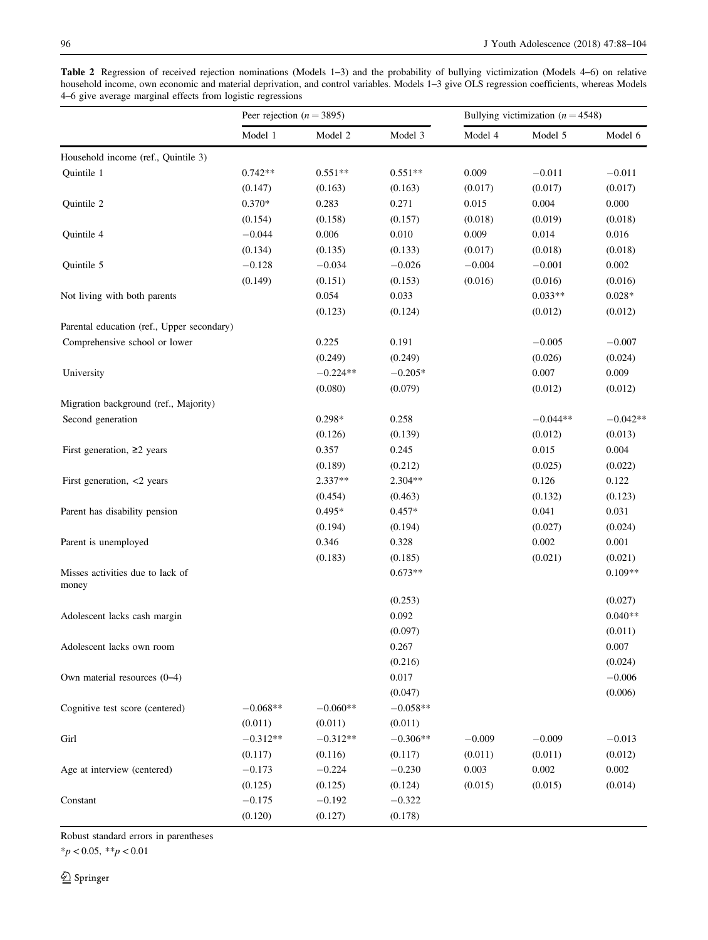<span id="page-8-0"></span>Table 2 Regression of received rejection nominations (Models 1–3) and the probability of bullying victimization (Models 4–6) on relative household income, own economic and material deprivation, and control variables. Models 1–3 give OLS regression coefficients, whereas Models 4–6 give average marginal effects from logistic regressions

|                                            | Peer rejection ( $n = 3895$ ) |            |            | Bullying victimization ( $n = 4548$ ) |            |            |
|--------------------------------------------|-------------------------------|------------|------------|---------------------------------------|------------|------------|
|                                            | Model 1                       | Model 2    | Model 3    | Model 4                               | Model 5    | Model 6    |
| Household income (ref., Quintile 3)        |                               |            |            |                                       |            |            |
| Quintile 1                                 | $0.742**$                     | $0.551**$  | $0.551**$  | 0.009                                 | $-0.011$   | $-0.011$   |
|                                            | (0.147)                       | (0.163)    | (0.163)    | (0.017)                               | (0.017)    | (0.017)    |
| Quintile 2                                 | $0.370*$                      | 0.283      | 0.271      | 0.015                                 | 0.004      | $0.000\,$  |
|                                            | (0.154)                       | (0.158)    | (0.157)    | (0.018)                               | (0.019)    | (0.018)    |
| Quintile 4                                 | $-0.044$                      | 0.006      | 0.010      | 0.009                                 | 0.014      | 0.016      |
|                                            | (0.134)                       | (0.135)    | (0.133)    | (0.017)                               | (0.018)    | (0.018)    |
| Quintile 5                                 | $-0.128$                      | $-0.034$   | $-0.026$   | $-0.004$                              | $-0.001$   | 0.002      |
|                                            | (0.149)                       | (0.151)    | (0.153)    | (0.016)                               | (0.016)    | (0.016)    |
| Not living with both parents               |                               | 0.054      | 0.033      |                                       | $0.033**$  | $0.028*$   |
|                                            |                               | (0.123)    | (0.124)    |                                       | (0.012)    | (0.012)    |
| Parental education (ref., Upper secondary) |                               |            |            |                                       |            |            |
| Comprehensive school or lower              |                               | 0.225      | 0.191      |                                       | $-0.005$   | $-0.007$   |
|                                            |                               | (0.249)    | (0.249)    |                                       | (0.026)    | (0.024)    |
| University                                 |                               | $-0.224**$ | $-0.205*$  |                                       | 0.007      | 0.009      |
|                                            |                               | (0.080)    | (0.079)    |                                       | (0.012)    | (0.012)    |
| Migration background (ref., Majority)      |                               |            |            |                                       |            |            |
| Second generation                          |                               | $0.298*$   | 0.258      |                                       | $-0.044**$ | $-0.042**$ |
|                                            |                               | (0.126)    | (0.139)    |                                       | (0.012)    | (0.013)    |
| First generation, $\geq 2$ years           |                               | 0.357      | 0.245      |                                       | 0.015      | 0.004      |
|                                            |                               | (0.189)    | (0.212)    |                                       | (0.025)    | (0.022)    |
| First generation, $<$ 2 years              |                               | 2.337**    | 2.304**    |                                       | 0.126      | 0.122      |
|                                            |                               | (0.454)    | (0.463)    |                                       | (0.132)    | (0.123)    |
| Parent has disability pension              |                               | $0.495*$   | $0.457*$   |                                       | 0.041      | 0.031      |
|                                            |                               | (0.194)    | (0.194)    |                                       | (0.027)    | (0.024)    |
| Parent is unemployed                       |                               | 0.346      | 0.328      |                                       | 0.002      | 0.001      |
|                                            |                               | (0.183)    | (0.185)    |                                       | (0.021)    | (0.021)    |
| Misses activities due to lack of<br>money  |                               |            | $0.673**$  |                                       |            | $0.109**$  |
|                                            |                               |            | (0.253)    |                                       |            | (0.027)    |
| Adolescent lacks cash margin               |                               |            | 0.092      |                                       |            | $0.040**$  |
|                                            |                               |            | (0.097)    |                                       |            | (0.011)    |
| Adolescent lacks own room                  |                               |            | 0.267      |                                       |            | 0.007      |
|                                            |                               |            | (0.216)    |                                       |            | (0.024)    |
| Own material resources (0-4)               |                               |            | 0.017      |                                       |            | $-0.006$   |
|                                            |                               |            | (0.047)    |                                       |            | (0.006)    |
| Cognitive test score (centered)            | $-0.068**$                    | $-0.060**$ | $-0.058**$ |                                       |            |            |
|                                            | (0.011)                       | (0.011)    | (0.011)    |                                       |            |            |
| Girl                                       | $-0.312**$                    | $-0.312**$ | $-0.306**$ | $-0.009$                              | $-0.009$   | $-0.013$   |
|                                            | (0.117)                       | (0.116)    | (0.117)    | (0.011)                               | (0.011)    | (0.012)    |
| Age at interview (centered)                | $-0.173$                      | $-0.224$   | $-0.230$   | 0.003                                 | 0.002      | $0.002\,$  |
|                                            | (0.125)                       | (0.125)    | (0.124)    | (0.015)                               | (0.015)    | (0.014)    |
| Constant                                   | $-0.175$                      | $-0.192$   | $-0.322$   |                                       |            |            |
|                                            | (0.120)                       | (0.127)    | (0.178)    |                                       |            |            |

Robust standard errors in parentheses

 $**p* < 0.05, ***p* < 0.01$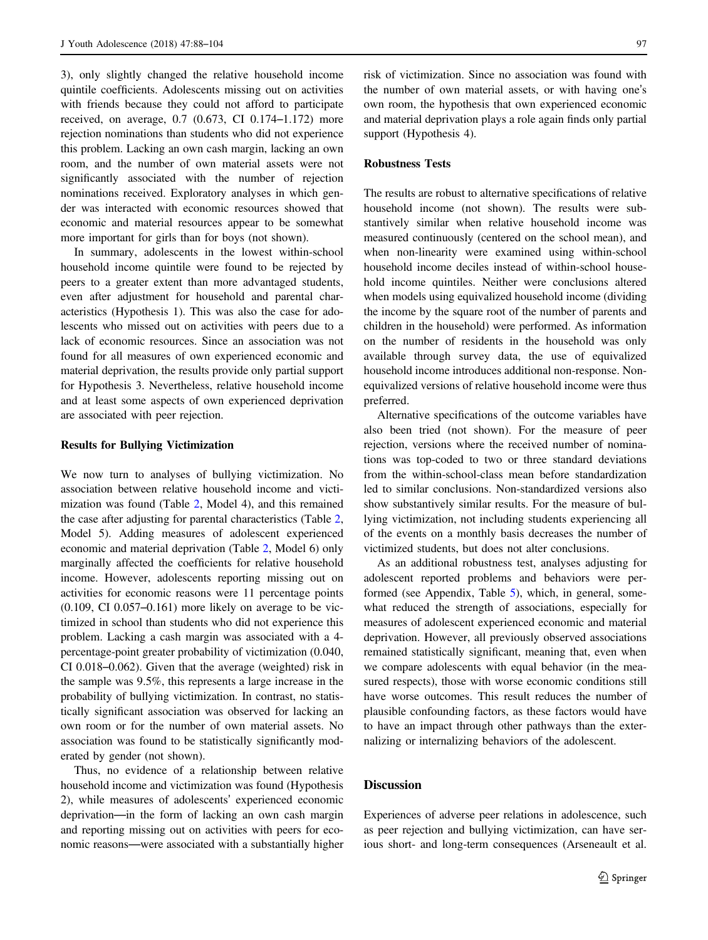3), only slightly changed the relative household income quintile coefficients. Adolescents missing out on activities with friends because they could not afford to participate received, on average, 0.7 (0.673, CI 0.174–1.172) more rejection nominations than students who did not experience this problem. Lacking an own cash margin, lacking an own room, and the number of own material assets were not significantly associated with the number of rejection nominations received. Exploratory analyses in which gender was interacted with economic resources showed that economic and material resources appear to be somewhat more important for girls than for boys (not shown).

In summary, adolescents in the lowest within-school household income quintile were found to be rejected by peers to a greater extent than more advantaged students, even after adjustment for household and parental characteristics (Hypothesis 1). This was also the case for adolescents who missed out on activities with peers due to a lack of economic resources. Since an association was not found for all measures of own experienced economic and material deprivation, the results provide only partial support for Hypothesis 3. Nevertheless, relative household income and at least some aspects of own experienced deprivation are associated with peer rejection.

#### Results for Bullying Victimization

We now turn to analyses of bullying victimization. No association between relative household income and victimization was found (Table [2](#page-8-0), Model 4), and this remained the case after adjusting for parental characteristics (Table [2,](#page-8-0) Model 5). Adding measures of adolescent experienced economic and material deprivation (Table [2](#page-8-0), Model 6) only marginally affected the coefficients for relative household income. However, adolescents reporting missing out on activities for economic reasons were 11 percentage points  $(0.109, CI\ 0.057-0.161)$  more likely on average to be victimized in school than students who did not experience this problem. Lacking a cash margin was associated with a 4 percentage-point greater probability of victimization (0.040, CI 0.018–0.062). Given that the average (weighted) risk in the sample was 9.5%, this represents a large increase in the probability of bullying victimization. In contrast, no statistically significant association was observed for lacking an own room or for the number of own material assets. No association was found to be statistically significantly moderated by gender (not shown).

Thus, no evidence of a relationship between relative household income and victimization was found (Hypothesis 2), while measures of adolescents' experienced economic deprivation—in the form of lacking an own cash margin and reporting missing out on activities with peers for economic reasons—were associated with a substantially higher risk of victimization. Since no association was found with the number of own material assets, or with having one's own room, the hypothesis that own experienced economic and material deprivation plays a role again finds only partial support (Hypothesis 4).

### Robustness Tests

The results are robust to alternative specifications of relative household income (not shown). The results were substantively similar when relative household income was measured continuously (centered on the school mean), and when non-linearity were examined using within-school household income deciles instead of within-school household income quintiles. Neither were conclusions altered when models using equivalized household income (dividing the income by the square root of the number of parents and children in the household) were performed. As information on the number of residents in the household was only available through survey data, the use of equivalized household income introduces additional non-response. Nonequivalized versions of relative household income were thus preferred.

Alternative specifications of the outcome variables have also been tried (not shown). For the measure of peer rejection, versions where the received number of nominations was top-coded to two or three standard deviations from the within-school-class mean before standardization led to similar conclusions. Non-standardized versions also show substantively similar results. For the measure of bullying victimization, not including students experiencing all of the events on a monthly basis decreases the number of victimized students, but does not alter conclusions.

As an additional robustness test, analyses adjusting for adolescent reported problems and behaviors were performed (see Appendix, Table [5](#page-13-0)), which, in general, somewhat reduced the strength of associations, especially for measures of adolescent experienced economic and material deprivation. However, all previously observed associations remained statistically significant, meaning that, even when we compare adolescents with equal behavior (in the measured respects), those with worse economic conditions still have worse outcomes. This result reduces the number of plausible confounding factors, as these factors would have to have an impact through other pathways than the externalizing or internalizing behaviors of the adolescent.

### **Discussion**

Experiences of adverse peer relations in adolescence, such as peer rejection and bullying victimization, can have serious short- and long-term consequences (Arseneault et al.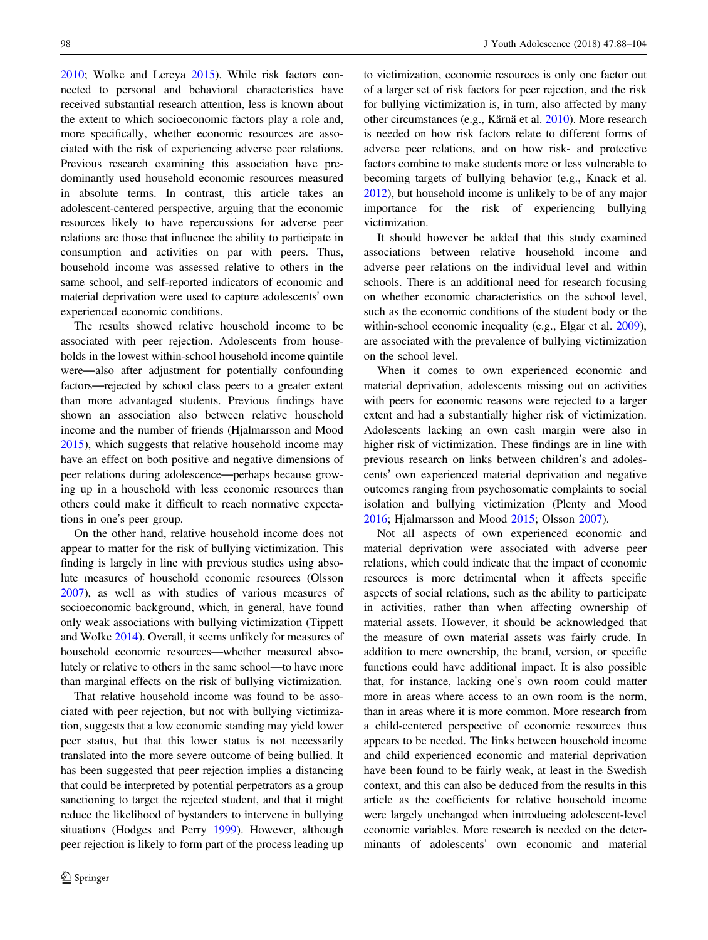[2010;](#page-14-0) Wolke and Lereya [2015](#page-16-0)). While risk factors connected to personal and behavioral characteristics have received substantial research attention, less is known about the extent to which socioeconomic factors play a role and, more specifically, whether economic resources are associated with the risk of experiencing adverse peer relations. Previous research examining this association have predominantly used household economic resources measured in absolute terms. In contrast, this article takes an adolescent-centered perspective, arguing that the economic resources likely to have repercussions for adverse peer relations are those that influence the ability to participate in consumption and activities on par with peers. Thus, household income was assessed relative to others in the same school, and self-reported indicators of economic and material deprivation were used to capture adolescents' own experienced economic conditions.

The results showed relative household income to be associated with peer rejection. Adolescents from households in the lowest within-school household income quintile were—also after adjustment for potentially confounding factors—rejected by school class peers to a greater extent than more advantaged students. Previous findings have shown an association also between relative household income and the number of friends (Hjalmarsson and Mood [2015\)](#page-15-0), which suggests that relative household income may have an effect on both positive and negative dimensions of peer relations during adolescence—perhaps because growing up in a household with less economic resources than others could make it difficult to reach normative expectations in one's peer group.

On the other hand, relative household income does not appear to matter for the risk of bullying victimization. This finding is largely in line with previous studies using absolute measures of household economic resources (Olsson [2007\)](#page-15-0), as well as with studies of various measures of socioeconomic background, which, in general, have found only weak associations with bullying victimization (Tippett and Wolke [2014\)](#page-16-0). Overall, it seems unlikely for measures of household economic resources—whether measured absolutely or relative to others in the same school—to have more than marginal effects on the risk of bullying victimization.

That relative household income was found to be associated with peer rejection, but not with bullying victimization, suggests that a low economic standing may yield lower peer status, but that this lower status is not necessarily translated into the more severe outcome of being bullied. It has been suggested that peer rejection implies a distancing that could be interpreted by potential perpetrators as a group sanctioning to target the rejected student, and that it might reduce the likelihood of bystanders to intervene in bullying situations (Hodges and Perry [1999](#page-15-0)). However, although peer rejection is likely to form part of the process leading up to victimization, economic resources is only one factor out of a larger set of risk factors for peer rejection, and the risk for bullying victimization is, in turn, also affected by many other circumstances (e.g., Kärnä et al. [2010](#page-15-0)). More research is needed on how risk factors relate to different forms of adverse peer relations, and on how risk- and protective factors combine to make students more or less vulnerable to becoming targets of bullying behavior (e.g., Knack et al. [2012](#page-15-0)), but household income is unlikely to be of any major importance for the risk of experiencing bullying victimization.

It should however be added that this study examined associations between relative household income and adverse peer relations on the individual level and within schools. There is an additional need for research focusing on whether economic characteristics on the school level, such as the economic conditions of the student body or the within-school economic inequality (e.g., Elgar et al. [2009\)](#page-15-0), are associated with the prevalence of bullying victimization on the school level.

When it comes to own experienced economic and material deprivation, adolescents missing out on activities with peers for economic reasons were rejected to a larger extent and had a substantially higher risk of victimization. Adolescents lacking an own cash margin were also in higher risk of victimization. These findings are in line with previous research on links between children's and adolescents' own experienced material deprivation and negative outcomes ranging from psychosomatic complaints to social isolation and bullying victimization (Plenty and Mood [2016](#page-15-0); Hjalmarsson and Mood [2015](#page-15-0); Olsson [2007](#page-15-0)).

Not all aspects of own experienced economic and material deprivation were associated with adverse peer relations, which could indicate that the impact of economic resources is more detrimental when it affects specific aspects of social relations, such as the ability to participate in activities, rather than when affecting ownership of material assets. However, it should be acknowledged that the measure of own material assets was fairly crude. In addition to mere ownership, the brand, version, or specific functions could have additional impact. It is also possible that, for instance, lacking one's own room could matter more in areas where access to an own room is the norm, than in areas where it is more common. More research from a child-centered perspective of economic resources thus appears to be needed. The links between household income and child experienced economic and material deprivation have been found to be fairly weak, at least in the Swedish context, and this can also be deduced from the results in this article as the coefficients for relative household income were largely unchanged when introducing adolescent-level economic variables. More research is needed on the determinants of adolescents' own economic and material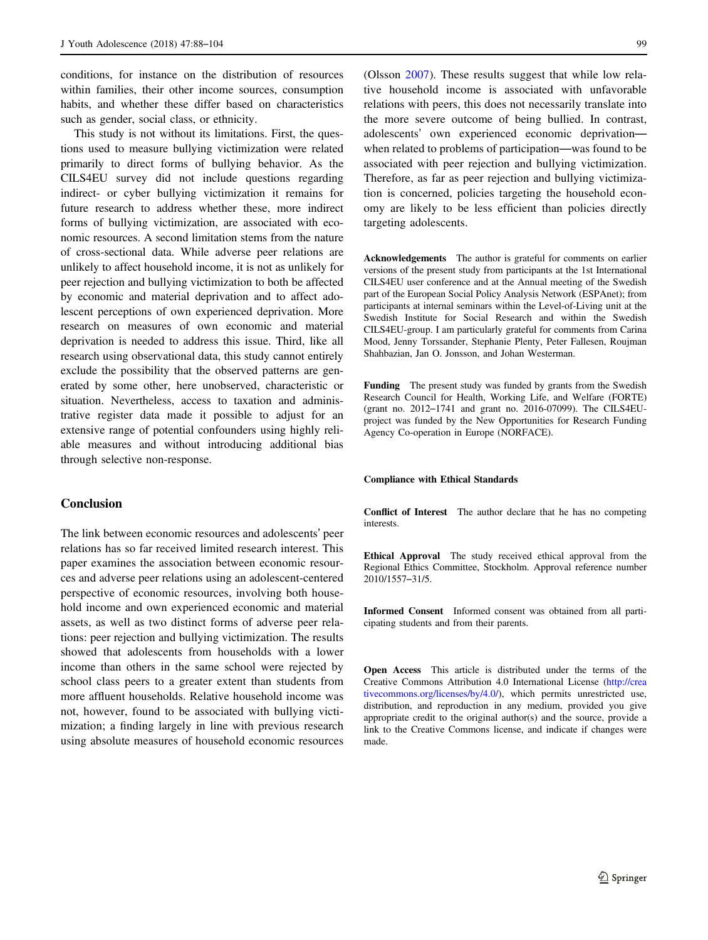conditions, for instance on the distribution of resources within families, their other income sources, consumption habits, and whether these differ based on characteristics such as gender, social class, or ethnicity.

This study is not without its limitations. First, the questions used to measure bullying victimization were related primarily to direct forms of bullying behavior. As the CILS4EU survey did not include questions regarding indirect- or cyber bullying victimization it remains for future research to address whether these, more indirect forms of bullying victimization, are associated with economic resources. A second limitation stems from the nature of cross-sectional data. While adverse peer relations are unlikely to affect household income, it is not as unlikely for peer rejection and bullying victimization to both be affected by economic and material deprivation and to affect adolescent perceptions of own experienced deprivation. More research on measures of own economic and material deprivation is needed to address this issue. Third, like all research using observational data, this study cannot entirely exclude the possibility that the observed patterns are generated by some other, here unobserved, characteristic or situation. Nevertheless, access to taxation and administrative register data made it possible to adjust for an extensive range of potential confounders using highly reliable measures and without introducing additional bias through selective non-response.

#### **Conclusion**

The link between economic resources and adolescents' peer relations has so far received limited research interest. This paper examines the association between economic resources and adverse peer relations using an adolescent-centered perspective of economic resources, involving both household income and own experienced economic and material assets, as well as two distinct forms of adverse peer relations: peer rejection and bullying victimization. The results showed that adolescents from households with a lower income than others in the same school were rejected by school class peers to a greater extent than students from more affluent households. Relative household income was not, however, found to be associated with bullying victimization; a finding largely in line with previous research using absolute measures of household economic resources

(Olsson [2007](#page-15-0)). These results suggest that while low relative household income is associated with unfavorable relations with peers, this does not necessarily translate into the more severe outcome of being bullied. In contrast, adolescents' own experienced economic deprivation when related to problems of participation—was found to be associated with peer rejection and bullying victimization. Therefore, as far as peer rejection and bullying victimization is concerned, policies targeting the household economy are likely to be less efficient than policies directly targeting adolescents.

Acknowledgements The author is grateful for comments on earlier versions of the present study from participants at the 1st International CILS4EU user conference and at the Annual meeting of the Swedish part of the European Social Policy Analysis Network (ESPAnet); from participants at internal seminars within the Level-of-Living unit at the Swedish Institute for Social Research and within the Swedish CILS4EU-group. I am particularly grateful for comments from Carina Mood, Jenny Torssander, Stephanie Plenty, Peter Fallesen, Roujman Shahbazian, Jan O. Jonsson, and Johan Westerman.

Funding The present study was funded by grants from the Swedish Research Council for Health, Working Life, and Welfare (FORTE) (grant no. 2012–1741 and grant no. 2016-07099). The CILS4EUproject was funded by the New Opportunities for Research Funding Agency Co-operation in Europe (NORFACE).

#### Compliance with Ethical Standards

Conflict of Interest The author declare that he has no competing interests.

Ethical Approval The study received ethical approval from the Regional Ethics Committee, Stockholm. Approval reference number 2010/1557–31/5.

Informed Consent Informed consent was obtained from all participating students and from their parents.

Open Access This article is distributed under the terms of the Creative Commons Attribution 4.0 International License [\(http://crea](http://creativecommons.org/licenses/by/4.0/) [tivecommons.org/licenses/by/4.0/](http://creativecommons.org/licenses/by/4.0/)), which permits unrestricted use, distribution, and reproduction in any medium, provided you give appropriate credit to the original author(s) and the source, provide a link to the Creative Commons license, and indicate if changes were made.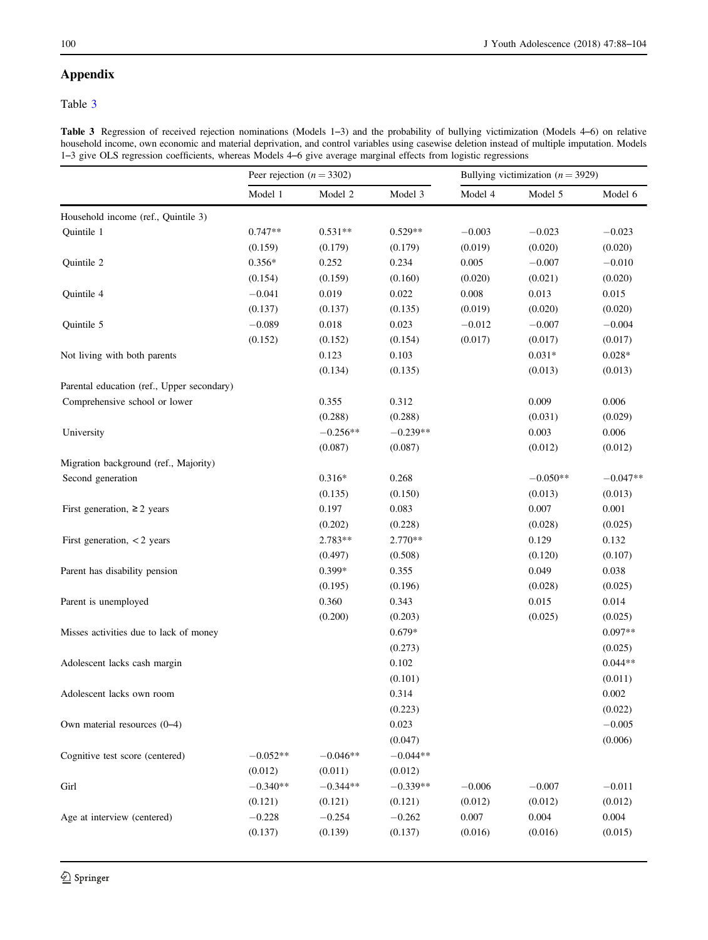# <span id="page-12-0"></span>Appendix

# Table 3

|  | <b>Table 3</b> Regression of received rejection nominations (Models 1–3) and the probability of bullying victimization (Models 4–6) on relative |  |  |  |
|--|-------------------------------------------------------------------------------------------------------------------------------------------------|--|--|--|
|  | household income, own economic and material deprivation, and control variables using casewise deletion instead of multiple imputation. Models   |  |  |  |
|  | 1-3 give OLS regression coefficients, whereas Models 4-6 give average marginal effects from logistic regressions                                |  |  |  |

|                                            |            | Peer rejection ( $n = 3302$ ) |            |          | Bullying victimization ( $n = 3929$ ) |            |  |
|--------------------------------------------|------------|-------------------------------|------------|----------|---------------------------------------|------------|--|
|                                            | Model 1    | Model 2                       | Model 3    | Model 4  | Model 5                               | Model 6    |  |
| Household income (ref., Quintile 3)        |            |                               |            |          |                                       |            |  |
| Quintile 1                                 | $0.747**$  | $0.531**$                     | $0.529**$  | $-0.003$ | $-0.023$                              | $-0.023$   |  |
|                                            | (0.159)    | (0.179)                       | (0.179)    | (0.019)  | (0.020)                               | (0.020)    |  |
| Quintile 2                                 | $0.356*$   | 0.252                         | 0.234      | 0.005    | $-0.007$                              | $-0.010$   |  |
|                                            | (0.154)    | (0.159)                       | (0.160)    | (0.020)  | (0.021)                               | (0.020)    |  |
| Quintile 4                                 | $-0.041$   | 0.019                         | 0.022      | 0.008    | 0.013                                 | 0.015      |  |
|                                            | (0.137)    | (0.137)                       | (0.135)    | (0.019)  | (0.020)                               | (0.020)    |  |
| Quintile 5                                 | $-0.089$   | 0.018                         | 0.023      | $-0.012$ | $-0.007$                              | $-0.004$   |  |
|                                            | (0.152)    | (0.152)                       | (0.154)    | (0.017)  | (0.017)                               | (0.017)    |  |
| Not living with both parents               |            | 0.123                         | 0.103      |          | $0.031*$                              | $0.028*$   |  |
|                                            |            | (0.134)                       | (0.135)    |          | (0.013)                               | (0.013)    |  |
| Parental education (ref., Upper secondary) |            |                               |            |          |                                       |            |  |
| Comprehensive school or lower              |            | 0.355                         | 0.312      |          | 0.009                                 | 0.006      |  |
|                                            |            | (0.288)                       | (0.288)    |          | (0.031)                               | (0.029)    |  |
| University                                 |            | $-0.256**$                    | $-0.239**$ |          | 0.003                                 | 0.006      |  |
|                                            |            | (0.087)                       | (0.087)    |          | (0.012)                               | (0.012)    |  |
| Migration background (ref., Majority)      |            |                               |            |          |                                       |            |  |
| Second generation                          |            | $0.316*$                      | 0.268      |          | $-0.050**$                            | $-0.047**$ |  |
|                                            |            | (0.135)                       | (0.150)    |          | (0.013)                               | (0.013)    |  |
| First generation, $\geq 2$ years           |            | 0.197                         | 0.083      |          | 0.007                                 | 0.001      |  |
|                                            |            | (0.202)                       | (0.228)    |          | (0.028)                               | (0.025)    |  |
| First generation, $<$ 2 years              |            | $2.783**$                     | 2.770**    |          | 0.129                                 | 0.132      |  |
|                                            |            | (0.497)                       | (0.508)    |          | (0.120)                               | (0.107)    |  |
| Parent has disability pension              |            | 0.399*                        | 0.355      |          | 0.049                                 | 0.038      |  |
|                                            |            | (0.195)                       | (0.196)    |          | (0.028)                               | (0.025)    |  |
| Parent is unemployed                       |            | 0.360                         | 0.343      |          | 0.015                                 | 0.014      |  |
|                                            |            | (0.200)                       | (0.203)    |          | (0.025)                               | (0.025)    |  |
| Misses activities due to lack of money     |            |                               | $0.679*$   |          |                                       | $0.097**$  |  |
|                                            |            |                               | (0.273)    |          |                                       | (0.025)    |  |
| Adolescent lacks cash margin               |            |                               | 0.102      |          |                                       | $0.044**$  |  |
|                                            |            |                               | (0.101)    |          |                                       | (0.011)    |  |
| Adolescent lacks own room                  |            |                               | 0.314      |          |                                       | 0.002      |  |
|                                            |            |                               | (0.223)    |          |                                       | (0.022)    |  |
| Own material resources (0-4)               |            |                               | 0.023      |          |                                       | $-0.005$   |  |
|                                            |            |                               | (0.047)    |          |                                       | (0.006)    |  |
| Cognitive test score (centered)            | $-0.052**$ | $-0.046**$                    | $-0.044**$ |          |                                       |            |  |
|                                            | (0.012)    | (0.011)                       | (0.012)    |          |                                       |            |  |
| Girl                                       | $-0.340**$ | $-0.344**$                    | $-0.339**$ | $-0.006$ | $-0.007$                              | $-0.011$   |  |
|                                            | (0.121)    | (0.121)                       | (0.121)    | (0.012)  | (0.012)                               | (0.012)    |  |
| Age at interview (centered)                | $-0.228$   | $-0.254$                      | $-0.262$   | 0.007    | 0.004                                 | 0.004      |  |
|                                            | (0.137)    | (0.139)                       | (0.137)    | (0.016)  | (0.016)                               | (0.015)    |  |
|                                            |            |                               |            |          |                                       |            |  |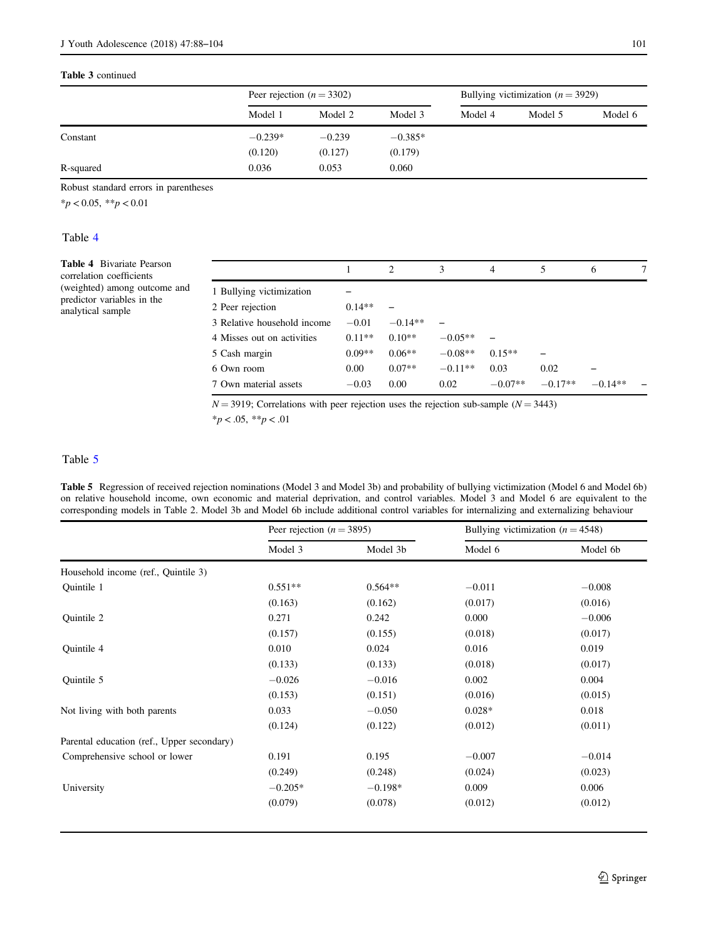#### <span id="page-13-0"></span>Table 3 continued

|           | Peer rejection ( $n = 3302$ ) |          |           | Bullying victimization $(n = 3929)$ |         |         |
|-----------|-------------------------------|----------|-----------|-------------------------------------|---------|---------|
|           | Model 1                       | Model 2  | Model 3   | Model 4                             | Model 5 | Model 6 |
| Constant  | $-0.239*$                     | $-0.239$ | $-0.385*$ |                                     |         |         |
|           | (0.120)                       | (0.127)  | (0.179)   |                                     |         |         |
| R-squared | 0.036                         | 0.053    | 0.060     |                                     |         |         |

Robust standard errors in parentheses

 $*_{p}$  < 0.05,  $*_{p}$  < 0.01

#### Table 4

| (weighted) among outcome and<br>1 Bullying victimization                                     |  |
|----------------------------------------------------------------------------------------------|--|
| predictor variables in the<br>$0.14**$                                                       |  |
| 2 Peer rejection<br>analytical sample<br>$-0.14**$<br>3 Relative household income<br>$-0.01$ |  |
| $0.10**$<br>$-0.05**$<br>$0.11**$<br>4 Misses out on activities                              |  |
| $0.06**$<br>$-0.08**$<br>$0.15**$<br>$0.09**$<br>5 Cash margin<br>-                          |  |
| $0.07**$<br>0.03<br>0.00<br>$-0.11**$<br>0.02<br>6 Own room                                  |  |
| $-0.17**$<br>0.00<br>0.02<br>$-0.07**$<br>$-0.14**$<br>7 Own material assets<br>$-0.03$      |  |

 $N = 3919$ ; Correlations with peer rejection uses the rejection sub-sample ( $N = 3443$ )

\*p < .05, \*\*p < .01

#### Table 5

Table 5 Regression of received rejection nominations (Model 3 and Model 3b) and probability of bullying victimization (Model 6 and Model 6b) on relative household income, own economic and material deprivation, and control variables. Model 3 and Model 6 are equivalent to the corresponding models in Table 2. Model 3b and Model 6b include additional control variables for internalizing and externalizing behaviour

|                                            |           | Peer rejection ( $n = 3895$ ) |          | Bullying victimization ( $n = 4548$ ) |  |
|--------------------------------------------|-----------|-------------------------------|----------|---------------------------------------|--|
|                                            | Model 3   | Model 3b                      | Model 6  | Model 6b                              |  |
| Household income (ref., Quintile 3)        |           |                               |          |                                       |  |
| Quintile 1                                 | $0.551**$ | $0.564**$                     | $-0.011$ | $-0.008$                              |  |
|                                            | (0.163)   | (0.162)                       | (0.017)  | (0.016)                               |  |
| <b>Ouintile 2</b>                          | 0.271     | 0.242                         | 0.000    | $-0.006$                              |  |
|                                            | (0.157)   | (0.155)                       | (0.018)  | (0.017)                               |  |
| Quintile 4                                 | 0.010     | 0.024                         | 0.016    | 0.019                                 |  |
|                                            | (0.133)   | (0.133)                       | (0.018)  | (0.017)                               |  |
| Quintile 5                                 | $-0.026$  | $-0.016$                      | 0.002    | 0.004                                 |  |
|                                            | (0.153)   | (0.151)                       | (0.016)  | (0.015)                               |  |
| Not living with both parents               | 0.033     | $-0.050$                      | $0.028*$ | 0.018                                 |  |
|                                            | (0.124)   | (0.122)                       | (0.012)  | (0.011)                               |  |
| Parental education (ref., Upper secondary) |           |                               |          |                                       |  |
| Comprehensive school or lower              | 0.191     | 0.195                         | $-0.007$ | $-0.014$                              |  |
|                                            | (0.249)   | (0.248)                       | (0.024)  | (0.023)                               |  |
| University                                 | $-0.205*$ | $-0.198*$                     | 0.009    | 0.006                                 |  |
|                                            | (0.079)   | (0.078)                       | (0.012)  | (0.012)                               |  |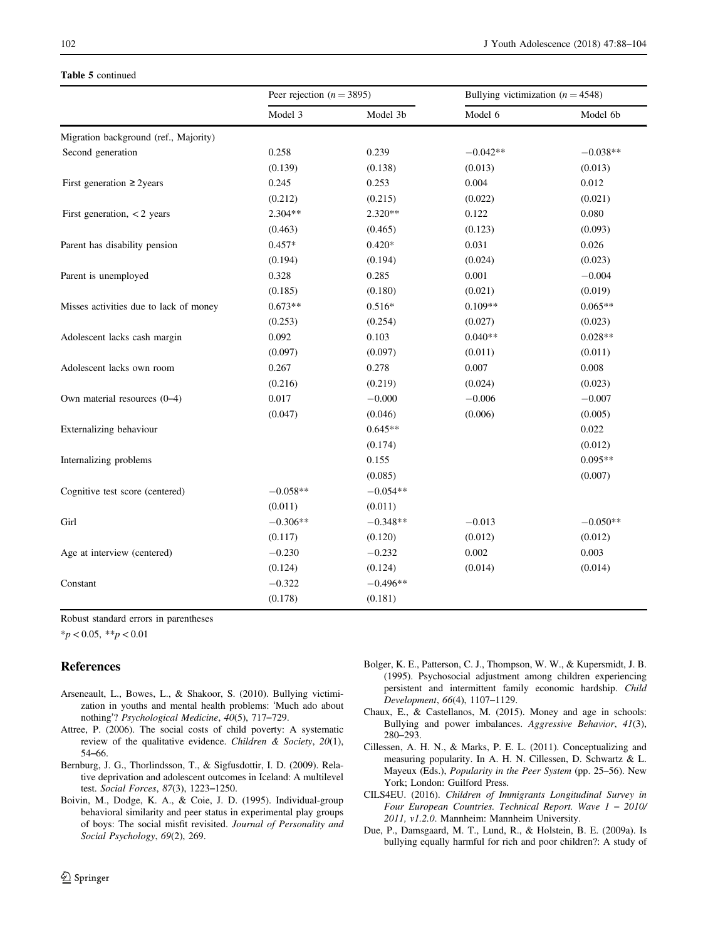#### <span id="page-14-0"></span>Table 5 continued

|                                        | Peer rejection ( $n = 3895$ ) |            | Bullying victimization ( $n = 4548$ ) |            |
|----------------------------------------|-------------------------------|------------|---------------------------------------|------------|
|                                        | Model 3                       | Model 3b   | Model 6                               | Model 6b   |
| Migration background (ref., Majority)  |                               |            |                                       |            |
| Second generation                      | 0.258                         | 0.239      | $-0.042**$                            | $-0.038**$ |
|                                        | (0.139)                       | (0.138)    | (0.013)                               | (0.013)    |
| First generation $\geq$ 2years         | 0.245                         | 0.253      | 0.004                                 | 0.012      |
|                                        | (0.212)                       | (0.215)    | (0.022)                               | (0.021)    |
| First generation, $<$ 2 years          | 2.304**                       | 2.320**    | 0.122                                 | 0.080      |
|                                        | (0.463)                       | (0.465)    | (0.123)                               | (0.093)    |
| Parent has disability pension          | $0.457*$                      | $0.420*$   | 0.031                                 | 0.026      |
|                                        | (0.194)                       | (0.194)    | (0.024)                               | (0.023)    |
| Parent is unemployed                   | 0.328                         | 0.285      | 0.001                                 | $-0.004$   |
|                                        | (0.185)                       | (0.180)    | (0.021)                               | (0.019)    |
| Misses activities due to lack of money | $0.673**$                     | $0.516*$   | $0.109**$                             | $0.065**$  |
|                                        | (0.253)                       | (0.254)    | (0.027)                               | (0.023)    |
| Adolescent lacks cash margin           | 0.092                         | 0.103      | $0.040**$                             | $0.028**$  |
|                                        | (0.097)                       | (0.097)    | (0.011)                               | (0.011)    |
| Adolescent lacks own room              | 0.267                         | 0.278      | 0.007                                 | 0.008      |
|                                        | (0.216)                       | (0.219)    | (0.024)                               | (0.023)    |
| Own material resources (0-4)           | 0.017                         | $-0.000$   | $-0.006$                              | $-0.007$   |
|                                        | (0.047)                       | (0.046)    | (0.006)                               | (0.005)    |
| Externalizing behaviour                |                               | $0.645**$  |                                       | 0.022      |
|                                        |                               | (0.174)    |                                       | (0.012)    |
| Internalizing problems                 |                               | 0.155      |                                       | $0.095**$  |
|                                        |                               | (0.085)    |                                       | (0.007)    |
| Cognitive test score (centered)        | $-0.058**$                    | $-0.054**$ |                                       |            |
|                                        | (0.011)                       | (0.011)    |                                       |            |
| Girl                                   | $-0.306**$                    | $-0.348**$ | $-0.013$                              | $-0.050**$ |
|                                        | (0.117)                       | (0.120)    | (0.012)                               | (0.012)    |
| Age at interview (centered)            | $-0.230$                      | $-0.232$   | 0.002                                 | 0.003      |
|                                        | (0.124)                       | (0.124)    | (0.014)                               | (0.014)    |
| Constant                               | $-0.322$                      | $-0.496**$ |                                       |            |
|                                        | (0.178)                       | (0.181)    |                                       |            |

Robust standard errors in parentheses

 $*_{p}$  < 0.05,  $*_{p}$  < 0.01

#### References

- Arseneault, L., Bowes, L., & Shakoor, S. (2010). Bullying victimization in youths and mental health problems: 'Much ado about nothing'? Psychological Medicine, 40(5), 717–729.
- Attree, P. (2006). The social costs of child poverty: A systematic review of the qualitative evidence. Children & Society, 20(1), 54–66.
- Bernburg, J. G., Thorlindsson, T., & Sigfusdottir, I. D. (2009). Relative deprivation and adolescent outcomes in Iceland: A multilevel test. Social Forces, 87(3), 1223–1250.
- Boivin, M., Dodge, K. A., & Coie, J. D. (1995). Individual-group behavioral similarity and peer status in experimental play groups of boys: The social misfit revisited. Journal of Personality and Social Psychology, 69(2), 269.
- Bolger, K. E., Patterson, C. J., Thompson, W. W., & Kupersmidt, J. B. (1995). Psychosocial adjustment among children experiencing persistent and intermittent family economic hardship. Child Development, 66(4), 1107–1129.
- Chaux, E., & Castellanos, M. (2015). Money and age in schools: Bullying and power imbalances. Aggressive Behavior, 41(3), 280–293.
- Cillessen, A. H. N., & Marks, P. E. L. (2011). Conceptualizing and measuring popularity. In A. H. N. Cillessen, D. Schwartz & L. Mayeux (Eds.), Popularity in the Peer System (pp. 25–56). New York; London: Guilford Press.
- CILS4EU. (2016). Children of Immigrants Longitudinal Survey in Four European Countries. Technical Report. Wave 1 – 2010/ 2011, v1.2.0. Mannheim: Mannheim University.
- Due, P., Damsgaard, M. T., Lund, R., & Holstein, B. E. (2009a). Is bullying equally harmful for rich and poor children?: A study of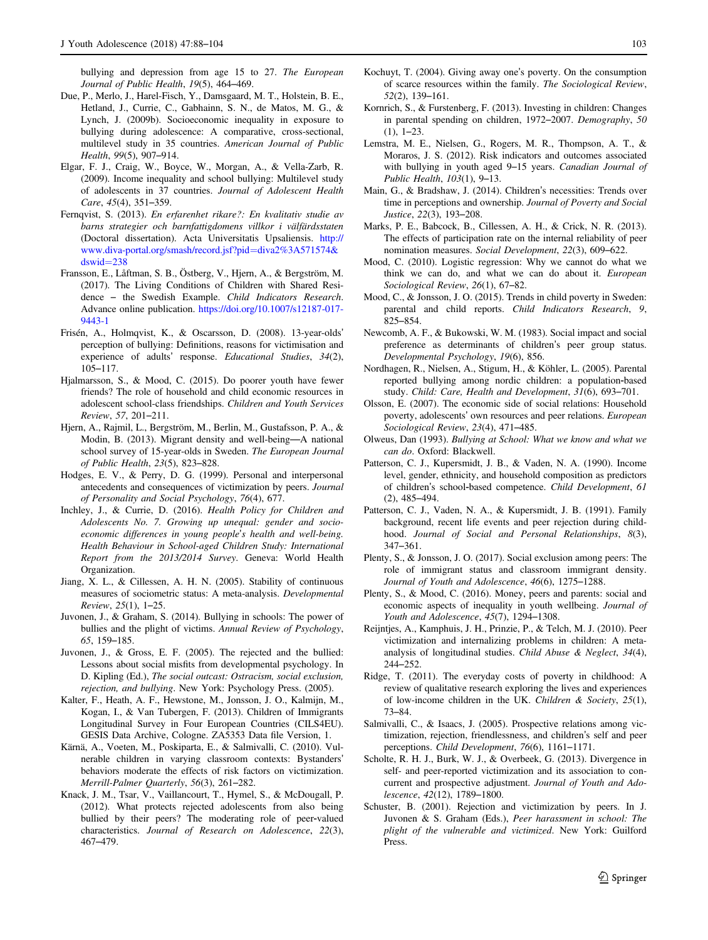<span id="page-15-0"></span>bullying and depression from age 15 to 27. The European Journal of Public Health, 19(5), 464–469.

- Due, P., Merlo, J., Harel-Fisch, Y., Damsgaard, M. T., Holstein, B. E., Hetland, J., Currie, C., Gabhainn, S. N., de Matos, M. G., & Lynch, J. (2009b). Socioeconomic inequality in exposure to bullying during adolescence: A comparative, cross-sectional, multilevel study in 35 countries. American Journal of Public Health, 99(5), 907–914.
- Elgar, F. J., Craig, W., Boyce, W., Morgan, A., & Vella-Zarb, R. (2009). Income inequality and school bullying: Multilevel study of adolescents in 37 countries. Journal of Adolescent Health Care, 45(4), 351–359.
- Fernqvist, S. (2013). En erfarenhet rikare?: En kvalitativ studie av barns strategier och barnfattigdomens villkor i välfärdsstaten (Doctoral dissertation). Acta Universitatis Upsaliensis. [http://](http://www.diva-portal.org/smash/record.jsf?pid=diva2%3A571574&dswid=238) [www.diva-portal.org/smash/record.jsf?pid](http://www.diva-portal.org/smash/record.jsf?pid=diva2%3A571574&dswid=238)=diva2%3A571574& [dswid](http://www.diva-portal.org/smash/record.jsf?pid=diva2%3A571574&dswid=238)=238
- Fransson, E., Låftman, S. B., Östberg, V., Hjern, A., & Bergström, M. (2017). The Living Conditions of Children with Shared Residence – the Swedish Example. Child Indicators Research. Advance online publication. [https://doi.org/10.1007/s12187-017-](https://doi.org/10.1007/s12187-017-9443-1) [9443-1](https://doi.org/10.1007/s12187-017-9443-1)
- Frisén, A., Holmqvist, K., & Oscarsson, D. (2008). 13-year-olds' perception of bullying: Definitions, reasons for victimisation and experience of adults' response. Educational Studies, 34(2), 105–117.
- Hjalmarsson, S., & Mood, C. (2015). Do poorer youth have fewer friends? The role of household and child economic resources in adolescent school-class friendships. Children and Youth Services Review, 57, 201–211.
- Hjern, A., Rajmil, L., Bergström, M., Berlin, M., Gustafsson, P. A., & Modin, B. (2013). Migrant density and well-being—A national school survey of 15-year-olds in Sweden. The European Journal of Public Health, 23(5), 823–828.
- Hodges, E. V., & Perry, D. G. (1999). Personal and interpersonal antecedents and consequences of victimization by peers. Journal of Personality and Social Psychology, 76(4), 677.
- Inchley, J., & Currie, D. (2016). Health Policy for Children and Adolescents No. 7. Growing up unequal: gender and socioeconomic differences in young people's health and well-being. Health Behaviour in School-aged Children Study: International Report from the 2013/2014 Survey. Geneva: World Health Organization.
- Jiang, X. L., & Cillessen, A. H. N. (2005). Stability of continuous measures of sociometric status: A meta-analysis. Developmental Review, 25(1), 1–25.
- Juvonen, J., & Graham, S. (2014). Bullying in schools: The power of bullies and the plight of victims. Annual Review of Psychology, 65, 159–185.
- Juvonen, J., & Gross, E. F. (2005). The rejected and the bullied: Lessons about social misfits from developmental psychology. In D. Kipling (Ed.), The social outcast: Ostracism, social exclusion, rejection, and bullying. New York: Psychology Press. (2005).
- Kalter, F., Heath, A. F., Hewstone, M., Jonsson, J. O., Kalmijn, M., Kogan, I., & Van Tubergen, F. (2013). Children of Immigrants Longitudinal Survey in Four European Countries (CILS4EU). GESIS Data Archive, Cologne. ZA5353 Data file Version, 1.
- Kärnä, A., Voeten, M., Poskiparta, E., & Salmivalli, C. (2010). Vulnerable children in varying classroom contexts: Bystanders' behaviors moderate the effects of risk factors on victimization. Merrill-Palmer Quarterly, 56(3), 261–282.
- Knack, J. M., Tsar, V., Vaillancourt, T., Hymel, S., & McDougall, P. (2012). What protects rejected adolescents from also being bullied by their peers? The moderating role of peer-valued characteristics. Journal of Research on Adolescence, 22(3), 467–479.
- Kochuyt, T. (2004). Giving away one's poverty. On the consumption of scarce resources within the family. The Sociological Review, 52(2), 139–161.
- Kornrich, S., & Furstenberg, F. (2013). Investing in children: Changes in parental spending on children, 1972–2007. Demography, 50 (1), 1–23.
- Lemstra, M. E., Nielsen, G., Rogers, M. R., Thompson, A. T., & Moraros, J. S. (2012). Risk indicators and outcomes associated with bullying in youth aged 9–15 years. Canadian Journal of Public Health, 103(1), 9–13.
- Main, G., & Bradshaw, J. (2014). Children's necessities: Trends over time in perceptions and ownership. Journal of Poverty and Social Justice, 22(3), 193–208.
- Marks, P. E., Babcock, B., Cillessen, A. H., & Crick, N. R. (2013). The effects of participation rate on the internal reliability of peer nomination measures. Social Development, 22(3), 609–622.
- Mood, C. (2010). Logistic regression: Why we cannot do what we think we can do, and what we can do about it. European Sociological Review, 26(1), 67–82.
- Mood, C., & Jonsson, J. O. (2015). Trends in child poverty in Sweden: parental and child reports. Child Indicators Research, 9, 825–854.
- Newcomb, A. F., & Bukowski, W. M. (1983). Social impact and social preference as determinants of children's peer group status. Developmental Psychology, 19(6), 856.
- Nordhagen, R., Nielsen, A., Stigum, H., & Köhler, L. (2005). Parental reported bullying among nordic children: a population‐based study. Child: Care, Health and Development, 31(6), 693–701.
- Olsson, E. (2007). The economic side of social relations: Household poverty, adolescents' own resources and peer relations. European Sociological Review, 23(4), 471–485.
- Olweus, Dan (1993). Bullying at School: What we know and what we can do. Oxford: Blackwell.
- Patterson, C. J., Kupersmidt, J. B., & Vaden, N. A. (1990). Income level, gender, ethnicity, and household composition as predictors of children's school-based competence. Child Development, 61 (2), 485–494.
- Patterson, C. J., Vaden, N. A., & Kupersmidt, J. B. (1991). Family background, recent life events and peer rejection during childhood. Journal of Social and Personal Relationships, 8(3), 347–361.
- Plenty, S., & Jonsson, J. O. (2017). Social exclusion among peers: The role of immigrant status and classroom immigrant density. Journal of Youth and Adolescence, 46(6), 1275–1288.
- Plenty, S., & Mood, C. (2016). Money, peers and parents: social and economic aspects of inequality in youth wellbeing. Journal of Youth and Adolescence, 45(7), 1294–1308.
- Reijntjes, A., Kamphuis, J. H., Prinzie, P., & Telch, M. J. (2010). Peer victimization and internalizing problems in children: A metaanalysis of longitudinal studies. Child Abuse & Neglect, 34(4), 244–252.
- Ridge, T. (2011). The everyday costs of poverty in childhood: A review of qualitative research exploring the lives and experiences of low-income children in the UK. Children & Society, 25(1), 73–84.
- Salmivalli, C., & Isaacs, J. (2005). Prospective relations among victimization, rejection, friendlessness, and children's self and peer perceptions. Child Development, 76(6), 1161–1171.
- Scholte, R. H. J., Burk, W. J., & Overbeek, G. (2013). Divergence in self- and peer-reported victimization and its association to concurrent and prospective adjustment. Journal of Youth and Adolescence, 42(12), 1789–1800.
- Schuster, B. (2001). Rejection and victimization by peers. In J. Juvonen & S. Graham (Eds.), Peer harassment in school: The plight of the vulnerable and victimized. New York: Guilford Press.